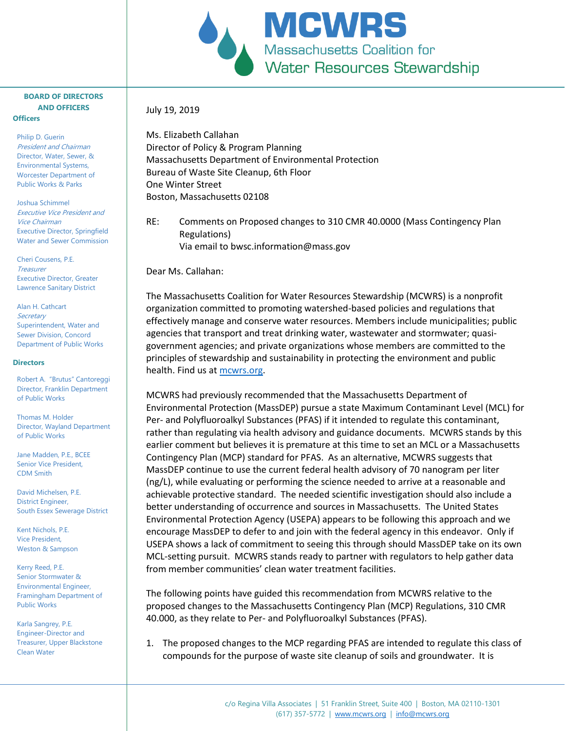

## **BOARD OF DIRECTORS AND OFFICERS Officers**

Philip D. Guerin President and Chairman Director, Water, Sewer, & Environmental Systems, Worcester Department of Public Works & Parks

Joshua Schimmel Executive Vice President and Vice Chairman Executive Director, Springfield Water and Sewer Commission

Cheri Cousens, P.E. **Treasurer** Executive Director, Greater Lawrence Sanitary District

Alan H. Cathcart **Secretary** Superintendent, Water and Sewer Division, Concord Department of Public Works

## **Directors**

Robert A. "Brutus" Cantoreggi Director, Franklin Department of Public Works

Thomas M. Holder Director, Wayland Department of Public Works

Jane Madden, P.E., BCEE Senior Vice President, CDM Smith

David Michelsen, P.E. District Engineer, South Essex Sewerage District

Kent Nichols, P.E. Vice President, Weston & Sampson

Kerry Reed, P.E. Senior Stormwater & Environmental Engineer, Framingham Department of Public Works

Karla Sangrey, P.E. Engineer-Director and Treasurer, Upper Blackstone Clean Water

Ms. Elizabeth Callahan Director of Policy & Program Planning Massachusetts Department of Environmental Protection Bureau of Waste Site Cleanup, 6th Floor One Winter Street Boston, Massachusetts 02108

RE: Comments on Proposed changes to 310 CMR 40.0000 (Mass Contingency Plan Regulations) Via email to bwsc.information@mass.gov

Dear Ms. Callahan:

July 19, 2019

The Massachusetts Coalition for Water Resources Stewardship (MCWRS) is a nonprofit organization committed to promoting watershed-based policies and regulations that effectively manage and conserve water resources. Members include municipalities; public agencies that transport and treat drinking water, wastewater and stormwater; quasigovernment agencies; and private organizations whose members are committed to the principles of stewardship and sustainability in protecting the environment and public health. Find us at [mcwrs.org.](July%2019,%202019)

MCWRS had previously recommended that the Massachusetts Department of Environmental Protection (MassDEP) pursue a state Maximum Contaminant Level (MCL) for Per- and Polyfluoroalkyl Substances (PFAS) if it intended to regulate this contaminant, rather than regulating via health advisory and guidance documents. MCWRS stands by this earlier comment but believes it is premature at this time to set an MCL or a Massachusetts Contingency Plan (MCP) standard for PFAS. As an alternative, MCWRS suggests that MassDEP continue to use the current federal health advisory of 70 nanogram per liter (ng/L), while evaluating or performing the science needed to arrive at a reasonable and achievable protective standard. The needed scientific investigation should also include a better understanding of occurrence and sources in Massachusetts. The United States Environmental Protection Agency (USEPA) appears to be following this approach and we encourage MassDEP to defer to and join with the federal agency in this endeavor. Only if USEPA shows a lack of commitment to seeing this through should MassDEP take on its own MCL-setting pursuit. MCWRS stands ready to partner with regulators to help gather data from member communities' clean water treatment facilities.

The following points have guided this recommendation from MCWRS relative to the proposed changes to the Massachusetts Contingency Plan (MCP) Regulations, 310 CMR 40.000, as they relate to Per- and Polyfluoroalkyl Substances (PFAS).

1. The proposed changes to the MCP regarding PFAS are intended to regulate this class of compounds for the purpose of waste site cleanup of soils and groundwater. It is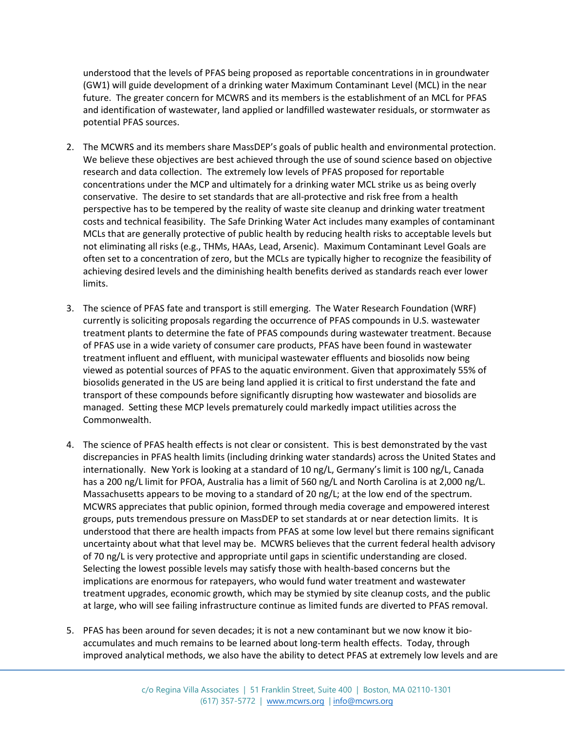understood that the levels of PFAS being proposed as reportable concentrations in in groundwater (GW1) will guide development of a drinking water Maximum Contaminant Level (MCL) in the near future. The greater concern for MCWRS and its members is the establishment of an MCL for PFAS and identification of wastewater, land applied or landfilled wastewater residuals, or stormwater as potential PFAS sources.

- 2. The MCWRS and its members share MassDEP's goals of public health and environmental protection. We believe these objectives are best achieved through the use of sound science based on objective research and data collection. The extremely low levels of PFAS proposed for reportable concentrations under the MCP and ultimately for a drinking water MCL strike us as being overly conservative. The desire to set standards that are all-protective and risk free from a health perspective has to be tempered by the reality of waste site cleanup and drinking water treatment costs and technical feasibility. The Safe Drinking Water Act includes many examples of contaminant MCLs that are generally protective of public health by reducing health risks to acceptable levels but not eliminating all risks (e.g., THMs, HAAs, Lead, Arsenic). Maximum Contaminant Level Goals are often set to a concentration of zero, but the MCLs are typically higher to recognize the feasibility of achieving desired levels and the diminishing health benefits derived as standards reach ever lower limits.
- 3. The science of PFAS fate and transport is still emerging. The Water Research Foundation (WRF) currently is soliciting proposals regarding the occurrence of PFAS compounds in U.S. wastewater treatment plants to determine the fate of PFAS compounds during wastewater treatment. Because of PFAS use in a wide variety of consumer care products, PFAS have been found in wastewater treatment influent and effluent, with municipal wastewater effluents and biosolids now being viewed as potential sources of PFAS to the aquatic environment. Given that approximately 55% of biosolids generated in the US are being land applied it is critical to first understand the fate and transport of these compounds before significantly disrupting how wastewater and biosolids are managed. Setting these MCP levels prematurely could markedly impact utilities across the Commonwealth.
- 4. The science of PFAS health effects is not clear or consistent. This is best demonstrated by the vast discrepancies in PFAS health limits (including drinking water standards) across the United States and internationally. New York is looking at a standard of 10 ng/L, Germany's limit is 100 ng/L, Canada has a 200 ng/L limit for PFOA, Australia has a limit of 560 ng/L and North Carolina is at 2,000 ng/L. Massachusetts appears to be moving to a standard of 20 ng/L; at the low end of the spectrum. MCWRS appreciates that public opinion, formed through media coverage and empowered interest groups, puts tremendous pressure on MassDEP to set standards at or near detection limits. It is understood that there are health impacts from PFAS at some low level but there remains significant uncertainty about what that level may be. MCWRS believes that the current federal health advisory of 70 ng/L is very protective and appropriate until gaps in scientific understanding are closed. Selecting the lowest possible levels may satisfy those with health-based concerns but the implications are enormous for ratepayers, who would fund water treatment and wastewater treatment upgrades, economic growth, which may be stymied by site cleanup costs, and the public at large, who will see failing infrastructure continue as limited funds are diverted to PFAS removal.
- 5. PFAS has been around for seven decades; it is not a new contaminant but we now know it bioaccumulates and much remains to be learned about long-term health effects. Today, through improved analytical methods, we also have the ability to detect PFAS at extremely low levels and are